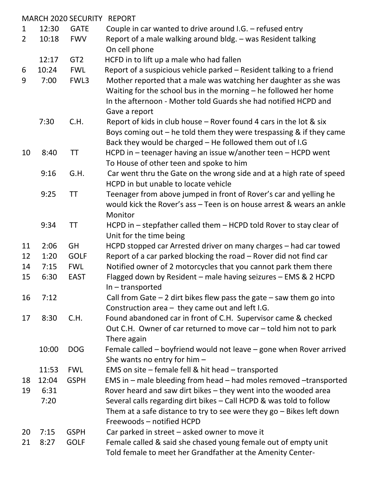|                |       | <b>MARCH 2020 SECURITY</b> | <b>REPORT</b>                                                                                                                                                                                                            |
|----------------|-------|----------------------------|--------------------------------------------------------------------------------------------------------------------------------------------------------------------------------------------------------------------------|
| 1              | 12:30 | <b>GATE</b>                | Couple in car wanted to drive around I.G. $-$ refused entry                                                                                                                                                              |
| $\overline{2}$ | 10:18 | <b>FWV</b>                 | Report of a male walking around bldg. - was Resident talking<br>On cell phone                                                                                                                                            |
|                | 12:17 | GT <sub>2</sub>            | HCFD in to lift up a male who had fallen                                                                                                                                                                                 |
| 6              | 10:24 | <b>FWL</b>                 | Report of a suspicious vehicle parked - Resident talking to a friend                                                                                                                                                     |
| 9              | 7:00  | FWL3                       | Mother reported that a male was watching her daughter as she was<br>Waiting for the school bus in the morning - he followed her home<br>In the afternoon - Mother told Guards she had notified HCPD and<br>Gave a report |
|                | 7:30  | C.H.                       | Report of kids in club house – Rover found 4 cars in the lot & six<br>Boys coming out $-$ he told them they were trespassing & if they came<br>Back they would be charged - He followed them out of I.G                  |
| 10             | 8:40  | ΤT                         | HCPD in - teenager having an issue w/another teen - HCPD went<br>To House of other teen and spoke to him                                                                                                                 |
|                | 9:16  | G.H.                       | Car went thru the Gate on the wrong side and at a high rate of speed<br>HCPD in but unable to locate vehicle                                                                                                             |
|                | 9:25  | <b>TT</b>                  | Teenager from above jumped in front of Rover's car and yelling he<br>would kick the Rover's ass - Teen is on house arrest & wears an ankle<br>Monitor                                                                    |
|                | 9:34  | TT                         | HCPD in - stepfather called them - HCPD told Rover to stay clear of<br>Unit for the time being                                                                                                                           |
| 11             | 2:06  | <b>GH</b>                  | HCPD stopped car Arrested driver on many charges - had car towed                                                                                                                                                         |
| 12             | 1:20  | <b>GOLF</b>                | Report of a car parked blocking the road – Rover did not find car                                                                                                                                                        |
| 14             | 7:15  | <b>FWL</b>                 | Notified owner of 2 motorcycles that you cannot park them there                                                                                                                                                          |
| 15             | 6:30  | <b>EAST</b>                | Flagged down by Resident - male having seizures - EMS & 2 HCPD<br>$In - transported$                                                                                                                                     |
| 16             | 7:12  |                            | Call from Gate $-2$ dirt bikes flew pass the gate $-$ saw them go into<br>Construction area - they came out and left I.G.                                                                                                |
| 17             | 8:30  | C.H.                       | Found abandoned car in front of C.H. Supervisor came & checked<br>Out C.H. Owner of car returned to move car – told him not to park<br>There again                                                                       |
|                | 10:00 | <b>DOG</b>                 | Female called $-$ boyfriend would not leave $-$ gone when Rover arrived<br>She wants no entry for him $-$                                                                                                                |
|                | 11:53 | <b>FWL</b>                 | EMS on site - female fell & hit head - transported                                                                                                                                                                       |
| 18             | 12:04 | <b>GSPH</b>                | EMS in - male bleeding from head - had moles removed -transported                                                                                                                                                        |
| 19             | 6:31  |                            | Rover heard and saw dirt bikes - they went into the wooded area                                                                                                                                                          |
|                | 7:20  |                            | Several calls regarding dirt bikes - Call HCPD & was told to follow                                                                                                                                                      |
|                |       |                            | Them at a safe distance to try to see were they $go$ – Bikes left down<br>Freewoods - notified HCPD                                                                                                                      |
| 20             | 7:15  | <b>GSPH</b>                | Car parked in street – asked owner to move it                                                                                                                                                                            |
| 21             | 8:27  | <b>GOLF</b>                | Female called & said she chased young female out of empty unit                                                                                                                                                           |
|                |       |                            | Told female to meet her Grandfather at the Amenity Center-                                                                                                                                                               |